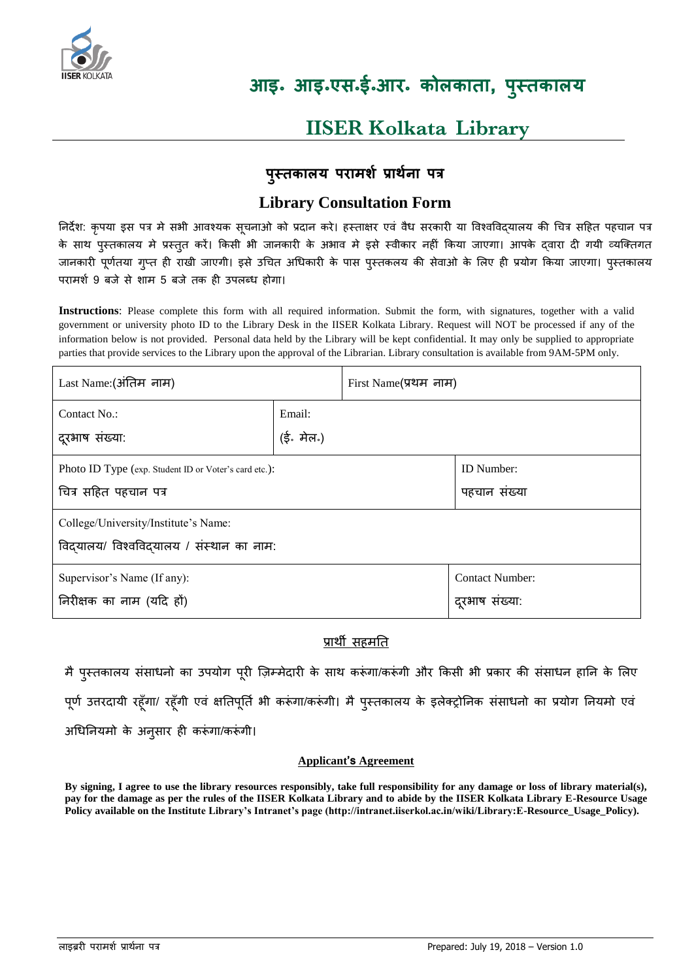

## **आइ॰ आइ॰एस॰ई॰आर॰ कोलकाता, पस्ुतकालय**

### **IISER Kolkata Library**

### **प ुस्तकालय परामर्श प्रार्नश ा पत्र**

### **Library Consultation Form**

ननर्देर्: कृपया इस पत्र मे सभी आवश्यक सूचनाओ को प्रर्दान करे। हस्ताक्षर एवं वैध सरकारी या ववश्वववद्यालय की चचत्र सहहत पहचान पत्र के साथ पुस्तकालय मे प्रस्तुत करें। किसी भी जानकारी के अभाव मे इसे स्वीकार नहीं किया जाएगा। आपके द्वारा दी गयी व्यक्तिगत जानकारी पूर्णतया गुप्त ही राखी जाएगी। इसे उचित अधिकारी के पास पुस्तकलय की सेवाओ के लिए ही प्रयोग किया जाएगा। पुस्तकालय परामर्श 9 बजे से शाम 5 बजे तक ही उपलब्ध होगा।

**Instructions**: Please complete this form with all required information. Submit the form, with signatures, together with a valid government or university photo ID to the Library Desk in the IISER Kolkata Library. Request will NOT be processed if any of the information below is not provided. Personal data held by the Library will be kept confidential. It may only be supplied to appropriate parties that provide services to the Library upon the approval of the Librarian. Library consultation is available from 9AM-5PM only.

| Last Name: (अंतिम नाम)                                                          |                     | First Name(प्रथम)                 |                                         |  |  |
|---------------------------------------------------------------------------------|---------------------|-----------------------------------|-----------------------------------------|--|--|
| Contact No.:<br>दूरभाष संख्या:                                                  | Email:<br>(ई. मेल.) |                                   |                                         |  |  |
| Photo ID Type (exp. Student ID or Voter's card etc.):<br>चित्र सहित पहचान पत्र  |                     | <b>ID</b> Number:<br>पहचान संख्या |                                         |  |  |
| College/University/Institute's Name:<br>विदयालय/ विश्वविदयालय / संस्थान का नाम: |                     |                                   |                                         |  |  |
| Supervisor's Name (If any):<br>निरीक्षक का नाम (यदि हों)                        |                     |                                   | <b>Contact Number:</b><br>दरभाष संख्या: |  |  |

### प्रार्थी सहमति

मै पुस्तकालय संसाधनो का उपयोग पुरी ज़िम्मेदारी के साथ करूंगा/करूंगी और किसी भी प्रकार की संसाधन हानि के लिए पूर्ण उत्तरदायी रहूँगा/ रहूँगी एवं क्षतिपूर्ति भी करूंगा/करूंगी। मै पुस्तकालय के इलेक्ट्रोनिक संसाधनो का प्रयोग नियमो एवं अधिनियमो के अनुसार ही करूंगा/करूंगी।

#### **Applicant's Agreement**

**By signing, I agree to use the library resources responsibly, take full responsibility for any damage or loss of library material(s), pay for the damage as per the rules of the IISER Kolkata Library and to abide by the IISER Kolkata Library E-Resource Usage Policy available on the Institute Library's Intranet's page (http://intranet.iiserkol.ac.in/wiki/Library:E-Resource\_Usage\_Policy).**